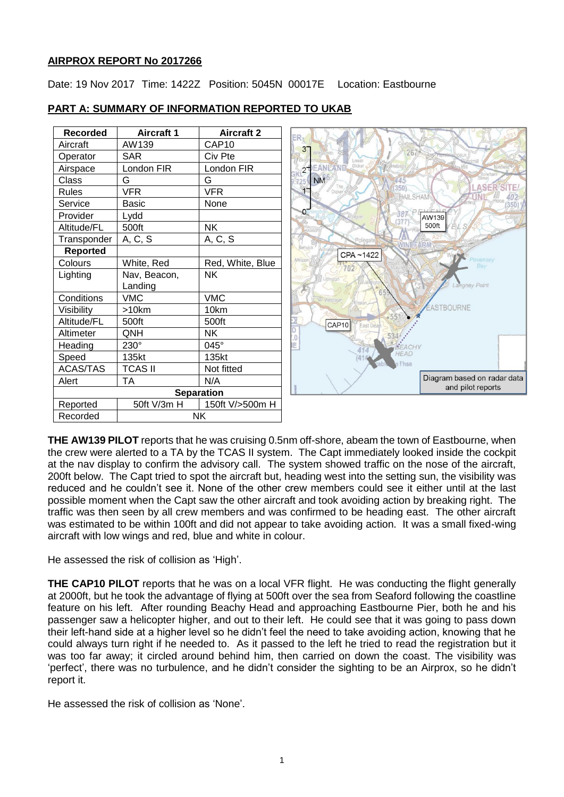#### **AIRPROX REPORT No 2017266**

Date: 19 Nov 2017 Time: 1422Z Position: 5045N 00017E Location: Eastbourne

| <b>Recorded</b>   | <b>Aircraft 1</b> | <b>Aircraft 2</b> |
|-------------------|-------------------|-------------------|
| Aircraft          | AW139             | CAP10             |
| Operator          | <b>SAR</b>        | Civ Pte           |
| Airspace          | London FIR        | London FIR        |
| <b>Class</b>      | G                 | G                 |
| Rules             | <b>VFR</b>        | <b>VFR</b>        |
| Service           | <b>Basic</b>      | None              |
| Provider          | Lydd              |                   |
| Altitude/FL       | 500ft             | <b>NK</b>         |
| Transponder       | A, C, S           | A, C, S           |
| <b>Reported</b>   |                   |                   |
| Colours           | White, Red        | Red, White, Blue  |
| Lighting          | Nav, Beacon,      | <b>NK</b>         |
|                   | Landing           |                   |
| Conditions        | <b>VMC</b>        | <b>VMC</b>        |
| Visibility        | >10km             | 10km              |
| Altitude/FL       | 500ft             | 500ft             |
| Altimeter         | QNH               | NΚ                |
| Heading           | 230°              | 045°              |
| Speed             | 135kt             | 135kt             |
| <b>ACAS/TAS</b>   | <b>TCAS II</b>    | Not fitted        |
| Alert             | <b>TA</b>         | N/A               |
| <b>Separation</b> |                   |                   |
| Reported          | 50ft V/3m H       | 150ft V/>500m H   |
| Recorded          | <b>NK</b>         |                   |

#### **PART A: SUMMARY OF INFORMATION REPORTED TO UKAB**

**THE AW139 PILOT** reports that he was cruising 0.5nm off-shore, abeam the town of Eastbourne, when the crew were alerted to a TA by the TCAS II system. The Capt immediately looked inside the cockpit at the nav display to confirm the advisory call. The system showed traffic on the nose of the aircraft, 200ft below. The Capt tried to spot the aircraft but, heading west into the setting sun, the visibility was reduced and he couldn't see it. None of the other crew members could see it either until at the last possible moment when the Capt saw the other aircraft and took avoiding action by breaking right. The traffic was then seen by all crew members and was confirmed to be heading east. The other aircraft was estimated to be within 100ft and did not appear to take avoiding action. It was a small fixed-wing aircraft with low wings and red, blue and white in colour.

He assessed the risk of collision as 'High'.

**THE CAP10 PILOT** reports that he was on a local VFR flight. He was conducting the flight generally at 2000ft, but he took the advantage of flying at 500ft over the sea from Seaford following the coastline feature on his left. After rounding Beachy Head and approaching Eastbourne Pier, both he and his passenger saw a helicopter higher, and out to their left. He could see that it was going to pass down their left-hand side at a higher level so he didn't feel the need to take avoiding action, knowing that he could always turn right if he needed to. As it passed to the left he tried to read the registration but it was too far away; it circled around behind him, then carried on down the coast. The visibility was 'perfect', there was no turbulence, and he didn't consider the sighting to be an Airprox, so he didn't report it.

He assessed the risk of collision as 'None'.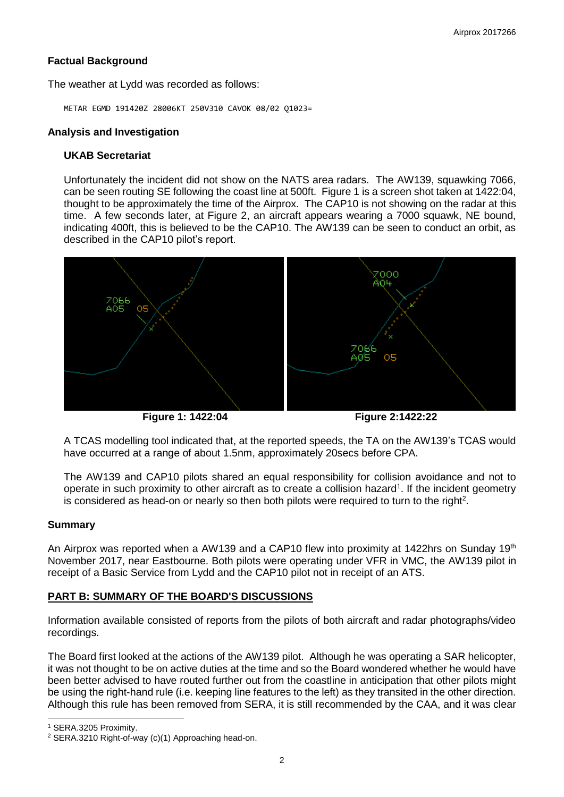## **Factual Background**

The weather at Lydd was recorded as follows:

METAR EGMD 191420Z 28006KT 250V310 CAVOK 08/02 Q1023=

### **Analysis and Investigation**

#### **UKAB Secretariat**

Unfortunately the incident did not show on the NATS area radars. The AW139, squawking 7066, can be seen routing SE following the coast line at 500ft. Figure 1 is a screen shot taken at 1422:04, thought to be approximately the time of the Airprox. The CAP10 is not showing on the radar at this time. A few seconds later, at Figure 2, an aircraft appears wearing a 7000 squawk, NE bound, indicating 400ft, this is believed to be the CAP10. The AW139 can be seen to conduct an orbit, as described in the CAP10 pilot's report.



**Figure 1: 1422:04 Figure 2:1422:22**

A TCAS modelling tool indicated that, at the reported speeds, the TA on the AW139's TCAS would have occurred at a range of about 1.5nm, approximately 20secs before CPA.

The AW139 and CAP10 pilots shared an equal responsibility for collision avoidance and not to operate in such proximity to other aircraft as to create a collision hazard<sup>1</sup>. If the incident geometry is considered as head-on or nearly so then both pilots were required to turn to the right<sup>2</sup>.

### **Summary**

An Airprox was reported when a AW139 and a CAP10 flew into proximity at 1422hrs on Sunday 19<sup>th</sup> November 2017, near Eastbourne. Both pilots were operating under VFR in VMC, the AW139 pilot in receipt of a Basic Service from Lydd and the CAP10 pilot not in receipt of an ATS.

### **PART B: SUMMARY OF THE BOARD'S DISCUSSIONS**

Information available consisted of reports from the pilots of both aircraft and radar photographs/video recordings.

The Board first looked at the actions of the AW139 pilot. Although he was operating a SAR helicopter, it was not thought to be on active duties at the time and so the Board wondered whether he would have been better advised to have routed further out from the coastline in anticipation that other pilots might be using the right-hand rule (i.e. keeping line features to the left) as they transited in the other direction. Although this rule has been removed from SERA, it is still recommended by the CAA, and it was clear

 $\overline{\phantom{a}}$ <sup>1</sup> SERA.3205 Proximity.

<sup>2</sup> SERA.3210 Right-of-way (c)(1) Approaching head-on.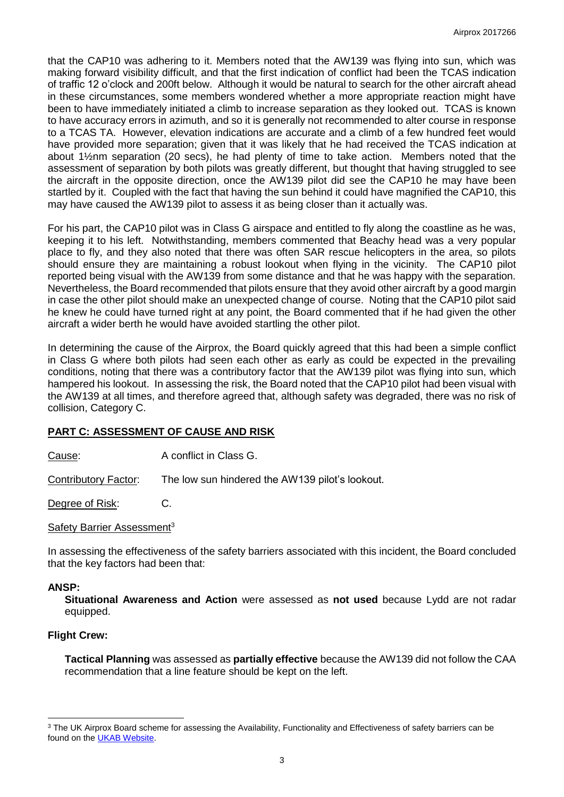that the CAP10 was adhering to it. Members noted that the AW139 was flying into sun, which was making forward visibility difficult, and that the first indication of conflict had been the TCAS indication of traffic 12 o'clock and 200ft below. Although it would be natural to search for the other aircraft ahead in these circumstances, some members wondered whether a more appropriate reaction might have been to have immediately initiated a climb to increase separation as they looked out. TCAS is known to have accuracy errors in azimuth, and so it is generally not recommended to alter course in response to a TCAS TA. However, elevation indications are accurate and a climb of a few hundred feet would have provided more separation; given that it was likely that he had received the TCAS indication at about 1½nm separation (20 secs), he had plenty of time to take action. Members noted that the assessment of separation by both pilots was greatly different, but thought that having struggled to see the aircraft in the opposite direction, once the AW139 pilot did see the CAP10 he may have been startled by it. Coupled with the fact that having the sun behind it could have magnified the CAP10, this may have caused the AW139 pilot to assess it as being closer than it actually was.

For his part, the CAP10 pilot was in Class G airspace and entitled to fly along the coastline as he was, keeping it to his left. Notwithstanding, members commented that Beachy head was a very popular place to fly, and they also noted that there was often SAR rescue helicopters in the area, so pilots should ensure they are maintaining a robust lookout when flying in the vicinity. The CAP10 pilot reported being visual with the AW139 from some distance and that he was happy with the separation. Nevertheless, the Board recommended that pilots ensure that they avoid other aircraft by a good margin in case the other pilot should make an unexpected change of course. Noting that the CAP10 pilot said he knew he could have turned right at any point, the Board commented that if he had given the other aircraft a wider berth he would have avoided startling the other pilot.

In determining the cause of the Airprox, the Board quickly agreed that this had been a simple conflict in Class G where both pilots had seen each other as early as could be expected in the prevailing conditions, noting that there was a contributory factor that the AW139 pilot was flying into sun, which hampered his lookout. In assessing the risk, the Board noted that the CAP10 pilot had been visual with the AW139 at all times, and therefore agreed that, although safety was degraded, there was no risk of collision, Category C.

# **PART C: ASSESSMENT OF CAUSE AND RISK**

Cause: A conflict in Class G.

Contributory Factor: The low sun hindered the AW139 pilot's lookout.

Degree of Risk: C.

Safety Barrier Assessment<sup>3</sup>

In assessing the effectiveness of the safety barriers associated with this incident, the Board concluded that the key factors had been that:

### **ANSP:**

 $\overline{\phantom{a}}$ 

**Situational Awareness and Action** were assessed as **not used** because Lydd are not radar equipped.

### **Flight Crew:**

**Tactical Planning** was assessed as **partially effective** because the AW139 did not follow the CAA recommendation that a line feature should be kept on the left.

<sup>&</sup>lt;sup>3</sup> The UK Airprox Board scheme for assessing the Availability, Functionality and Effectiveness of safety barriers can be found on the **UKAB Website**.